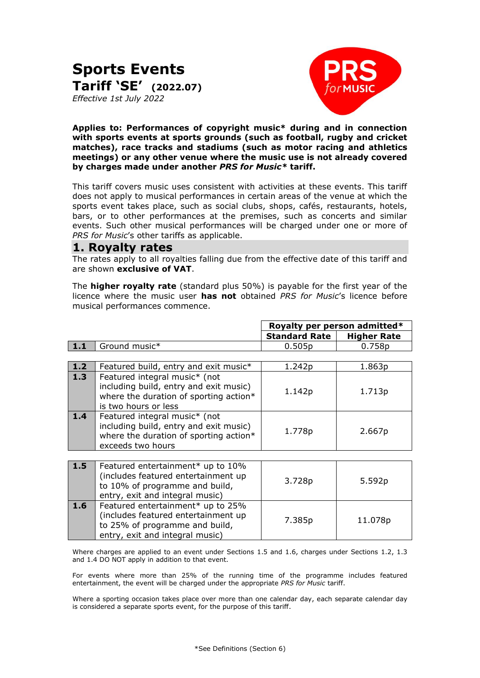# **Sports Events Tariff 'SE' (2022.07)** *Effective 1st July 2022*



**Applies to: Performances of copyright music\* during and in connection with sports events at sports grounds (such as football, rugby and cricket matches), race tracks and stadiums (such as motor racing and athletics meetings) or any other venue where the music use is not already covered by charges made under another** *PRS for Music\** **tariff.**

This tariff covers music uses consistent with activities at these events. This tariff does not apply to musical performances in certain areas of the venue at which the sports event takes place, such as social clubs, shops, cafés, restaurants, hotels, bars, or to other performances at the premises, such as concerts and similar events. Such other musical performances will be charged under one or more of *PRS for Music*'s other tariffs as applicable.

### **1. Royalty rates**

The rates apply to all royalties falling due from the effective date of this tariff and are shown **exclusive of VAT**.

The **higher royalty rate** (standard plus 50%) is payable for the first year of the licence where the music user **has not** obtained *PRS for Music*'s licence before musical performances commence.

|               | Royalty per person admitted* |                          |
|---------------|------------------------------|--------------------------|
|               | <b>Standard Rate</b>         | <b>Higher Rate</b>       |
| Ground music* | 0.505 <sub>p</sub>           | 758p<br>$0.\overline{7}$ |

| 1.2               | Featured build, entry and exit music*                                                                                                     | 1.242p | 1.863p |
|-------------------|-------------------------------------------------------------------------------------------------------------------------------------------|--------|--------|
| $\vert 1.3 \vert$ | Featured integral music* (not<br>including build, entry and exit music)<br>where the duration of sporting action*<br>is two hours or less | 1.142p | 1.713p |
| 1.4               | Featured integral music* (not<br>including build, entry and exit music)<br>where the duration of sporting action*<br>exceeds two hours    | 1.778p | 2.667p |

| 1.5 | Featured entertainment* up to 10%<br>(includes featured entertainment up<br>to 10% of programme and build,<br>entry, exit and integral music) | 3.728p | 5.592p  |
|-----|-----------------------------------------------------------------------------------------------------------------------------------------------|--------|---------|
| 1.6 | Featured entertainment* up to 25%<br>(includes featured entertainment up<br>to 25% of programme and build,<br>entry, exit and integral music) | 7.385p | 11.078p |

Where charges are applied to an event under Sections 1.5 and 1.6, charges under Sections 1.2, 1.3 and 1.4 DO NOT apply in addition to that event.

For events where more than 25% of the running time of the programme includes featured entertainment, the event will be charged under the appropriate *PRS for Music* tariff.

Where a sporting occasion takes place over more than one calendar day, each separate calendar day is considered a separate sports event, for the purpose of this tariff.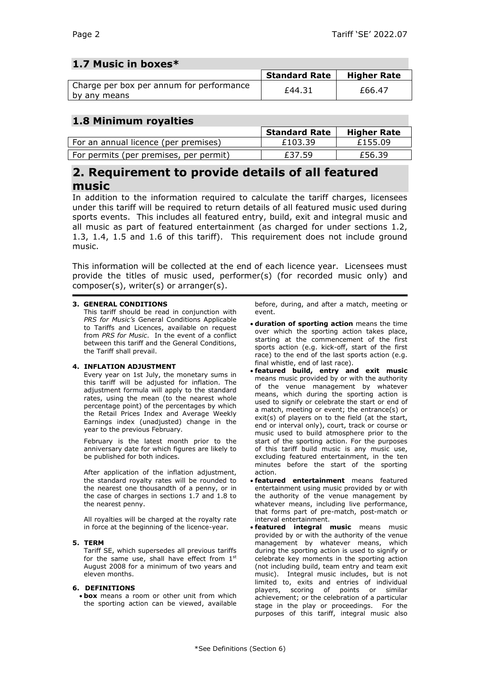# **1.7 Music in boxes\***

|                                                          | <b>Standard Rate</b> | <b>Higher Rate</b> |
|----------------------------------------------------------|----------------------|--------------------|
| Charge per box per annum for performance<br>by any means | £44.31               | £66.47             |

# **1.8 Minimum royalties**

|                                        | <b>Standard Rate</b> | <b>Higher Rate</b> |
|----------------------------------------|----------------------|--------------------|
| For an annual licence (per premises)   | £103.39              | £155.09            |
| For permits (per premises, per permit) | £37.59               | £56.39             |

# **2. Requirement to provide details of all featured music**

In addition to the information required to calculate the tariff charges, licensees under this tariff will be required to return details of all featured music used during sports events. This includes all featured entry, build, exit and integral music and all music as part of featured entertainment (as charged for under sections 1.2, 1.3, 1.4, 1.5 and 1.6 of this tariff). This requirement does not include ground music.

This information will be collected at the end of each licence year. Licensees must provide the titles of music used, performer(s) (for recorded music only) and composer(s), writer(s) or arranger(s).

### **3. GENERAL CONDITIONS**

This tariff should be read in conjunction with *PRS for Music's* General Conditions Applicable to Tariffs and Licences, available on request from *PRS for Music*. In the event of a conflict between this tariff and the General Conditions, the Tariff shall prevail.

### **4. INFLATION ADJUSTMENT**

Every year on 1st July, the monetary sums in this tariff will be adjusted for inflation. The adjustment formula will apply to the standard rates, using the mean (to the nearest whole percentage point) of the percentages by which the Retail Prices Index and Average Weekly Earnings index (unadjusted) change in the year to the previous February.

February is the latest month prior to the anniversary date for which figures are likely to be published for both indices.

After application of the inflation adjustment, the standard royalty rates will be rounded to the nearest one thousandth of a penny, or in the case of charges in sections 1.7 and 1.8 to the nearest penny.

All royalties will be charged at the royalty rate in force at the beginning of the licence-year.

### **5. TERM**

Tariff SE, which supersedes all previous tariffs for the same use, shall have effect from 1<sup>st</sup> August 2008 for a minimum of two years and eleven months.

### **6. DEFINITIONS**

• **box** means a room or other unit from which the sporting action can be viewed, available before, during, and after a match, meeting or event.

- **duration of sporting action** means the time over which the sporting action takes place, starting at the commencement of the first sports action (e.g. kick-off, start of the first race) to the end of the last sports action (e.g. final whistle, end of last race).
- **featured build, entry and exit music** means music provided by or with the authority of the venue management by whatever means, which during the sporting action is used to signify or celebrate the start or end of a match, meeting or event; the entrance(s) or exit(s) of players on to the field (at the start, end or interval only), court, track or course or music used to build atmosphere prior to the start of the sporting action. For the purposes of this tariff build music is any music use, excluding featured entertainment, in the ten minutes before the start of the sporting action.
- **featured entertainment** means featured entertainment using music provided by or with the authority of the venue management by whatever means, including live performance, that forms part of pre-match, post-match or interval entertainment.
- **featured integral music** means music provided by or with the authority of the venue management by whatever means, which during the sporting action is used to signify or celebrate key moments in the sporting action (not including build, team entry and team exit music). Integral music includes, but is not limited to, exits and entries of individual players, scoring of points or similar achievement; or the celebration of a particular stage in the play or proceedings. For the purposes of this tariff, integral music also